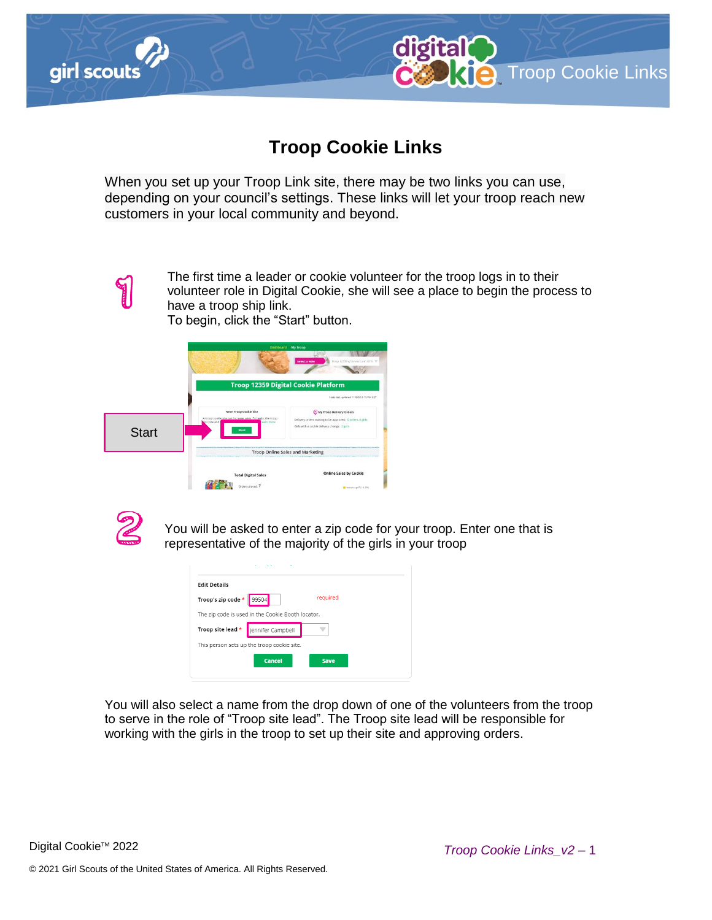



digital

When you set up your Troop Link site, there may be two links you can use, depending on your council's settings. These links will let your troop reach new customers in your local community and beyond.



The first time a leader or cookie volunteer for the troop logs in to their volunteer role in Digital Cookie, she will see a place to begin the process to have a troop ship link.

To begin, click the "Start" button.





You will be asked to enter a zip code for your troop. Enter one that is representative of the majority of the girls in your troop

| <b>Edit Details</b>            |                                                   |          |
|--------------------------------|---------------------------------------------------|----------|
| Troop's zip code $\star$ 99504 |                                                   | required |
|                                | The zip code is used in the Cookie Booth locator. |          |
|                                | Troop site lead *   Jennifer Campbell             |          |
|                                | This person sets up the troop cookie site.        |          |
|                                | Cancel                                            | Save     |

You will also select a name from the drop down of one of the volunteers from the troop to serve in the role of "Troop site lead". The Troop site lead will be responsible for working with the girls in the troop to set up their site and approving orders.

**KIC** Troop Cookie Links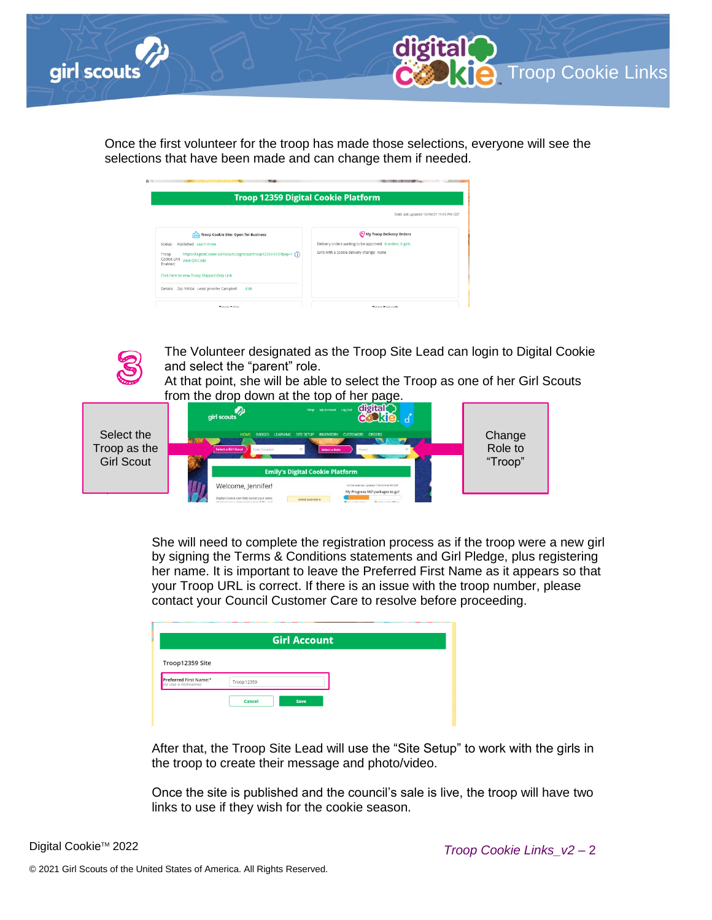



Once the first volunteer for the troop has made those selections, everyone will see the selections that have been made and can change them if needed.

| <b>Troop 12359 Digital Cookie Platform</b>                                                                                      |                                                           |
|---------------------------------------------------------------------------------------------------------------------------------|-----------------------------------------------------------|
|                                                                                                                                 | Stats last updated 10/10/21 11:15 PM CDT                  |
| <b>Troop Cookie Site: Open for Business</b>                                                                                     | ( <sup>o</sup> ) My Troop Delivery Orders                 |
| Published Learn more<br>Status:                                                                                                 | Delivery orders waiting to be approved: 0 orders, 0 girls |
| https://DigitalCookie.GirlScouts.org/scout/troop12359-512?fpkp=1 (j)<br>Troop<br>Cookie Link<br><b>View OR Code</b><br>Enabled: | Girls with a cookie delivery change: None                 |
| Click here to view Troop Shipped Only Link                                                                                      |                                                           |
| Details: Zip: 99504 Lead: Jennifer Campbell<br>Fdit                                                                             |                                                           |
| Troop Calor                                                                                                                     | Troop Rowards                                             |



The Volunteer designated as the Troop Site Lead can login to Digital Cookie and select the "parent" role.

At that point, she will be able to select the Troop as one of her Girl Scouts from the drop down at the top of her page.



She will need to complete the registration process as if the troop were a new girl by signing the Terms & Conditions statements and Girl Pledge, plus registering her name. It is important to leave the Preferred First Name as it appears so that your Troop URL is correct. If there is an issue with the troop number, please contact your Council Customer Care to resolve before proceeding.

|                                               | <b>Girl Account</b> |  |
|-----------------------------------------------|---------------------|--|
| Troop12359 Site                               |                     |  |
| Preferred First Name:*<br>(or use a nickname) | Troop12359          |  |
|                                               | Cancel<br>Save      |  |

After that, the Troop Site Lead will use the "Site Setup" to work with the girls in the troop to create their message and photo/video.

Once the site is published and the council's sale is live, the troop will have two links to use if they wish for the cookie season.

Digital Cookie<sup>™</sup> 2022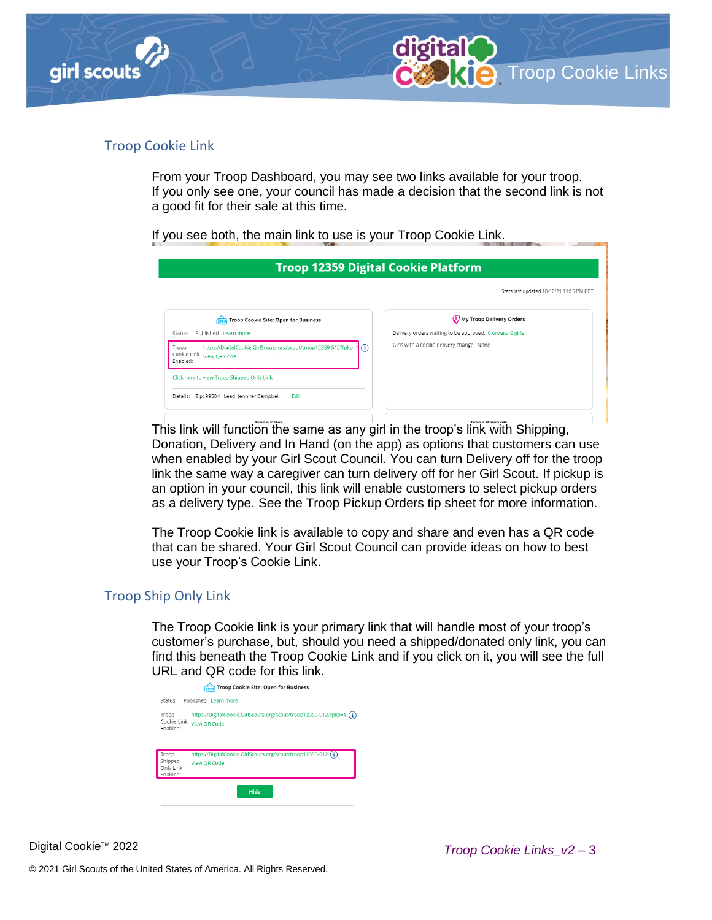

## Troop Cookie Link

From your Troop Dashboard, you may see two links available for your troop. If you only see one, your council has made a decision that the second link is not a good fit for their sale at this time.

If you see both, the main link to use is your Troop Cookie Link.

| <b>Troop 12359 Digital Cookie Platform</b>                                                                                      |                                                           |
|---------------------------------------------------------------------------------------------------------------------------------|-----------------------------------------------------------|
|                                                                                                                                 | Stats last updated 10/10/21 11:15 PM CDT                  |
| Troop Cookie Site: Open for Business                                                                                            | My Troop Delivery Orders                                  |
| Published Learn more<br>Status:                                                                                                 | Delivery orders waiting to be approved: 0 orders, 0 girls |
| https://DigitalCookie.GirlScouts.org/scout/troop12359-512?fpkp=1 (i)<br>Troop<br>Cookie Link<br><b>View OR Code</b><br>Enabled: | Girls with a cookie delivery change: None                 |
| Click here to view Troop Shipped Only Link                                                                                      |                                                           |
| Details: Zip: 99504 Lead: Jennifer Campbell<br>Edit                                                                             |                                                           |

This link will function the same as any girl in the troop's link with Shipping, Donation, Delivery and In Hand (on the app) as options that customers can use when enabled by your Girl Scout Council. You can turn Delivery off for the troop link the same way a caregiver can turn delivery off for her Girl Scout. If pickup is an option in your council, this link will enable customers to select pickup orders as a delivery type. See the Troop Pickup Orders tip sheet for more information.

The Troop Cookie link is available to copy and share and even has a QR code that can be shared. Your Girl Scout Council can provide ideas on how to best use your Troop's Cookie Link.

## Troop Ship Only Link

The Troop Cookie link is your primary link that will handle most of your troop's customer's purchase, but, should you need a shipped/donated only link, you can find this beneath the Troop Cookie Link and if you click on it, you will see the full URL and QR code for this link.

|                                  | Troop Cookie Site: Open for Business<br><b>OPEN</b>                                         |
|----------------------------------|---------------------------------------------------------------------------------------------|
| Status:                          | Published Learn more                                                                        |
| Troop<br>Cookie Link<br>Fnabled: | https://DigitalCookie.GirlScouts.org/scout/troop12359-512?fpkp=1 (i)<br><b>View OR Code</b> |
| Troop                            | https://DigitalCookie.GirlScouts.org/scout/troop12359-512 (j)                               |
| Shipped<br>Only Link<br>Enabled: | <b>View OR Code</b>                                                                         |
|                                  | Hide                                                                                        |

Digital Cookie™ 2022